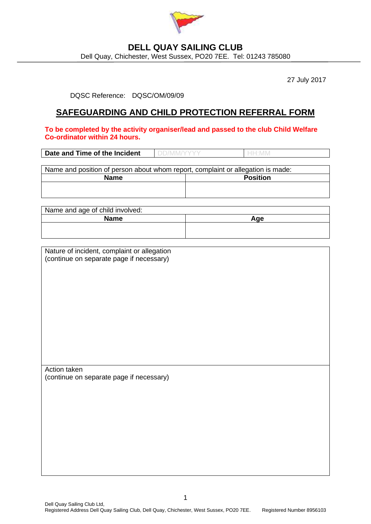

## **DELL QUAY SAILING CLUB**

Dell Quay, Chichester, West Sussex, PO20 7EE. Tel: 01243 785080

27 July 2017

DQSC Reference: DQSC/OM/09/09

## **SAFEGUARDING AND CHILD PROTECTION REFERRAL FORM**

**To be completed by the activity organiser/lead and passed to the club Child Welfare Co-ordinator within 24 hours.**

| Name and position of person about whom report, complaint or allegation is made: |                 |  |
|---------------------------------------------------------------------------------|-----------------|--|
| <b>Name</b>                                                                     | <b>Position</b> |  |
|                                                                                 |                 |  |
|                                                                                 |                 |  |

| Name and age of child involved: |     |
|---------------------------------|-----|
| <b>Name</b>                     | Aae |
|                                 |     |
|                                 |     |

| Nature of incident, complaint or allegation |
|---------------------------------------------|
| (continue on separate page if necessary)    |

Action taken (continue on separate page if necessary)

1